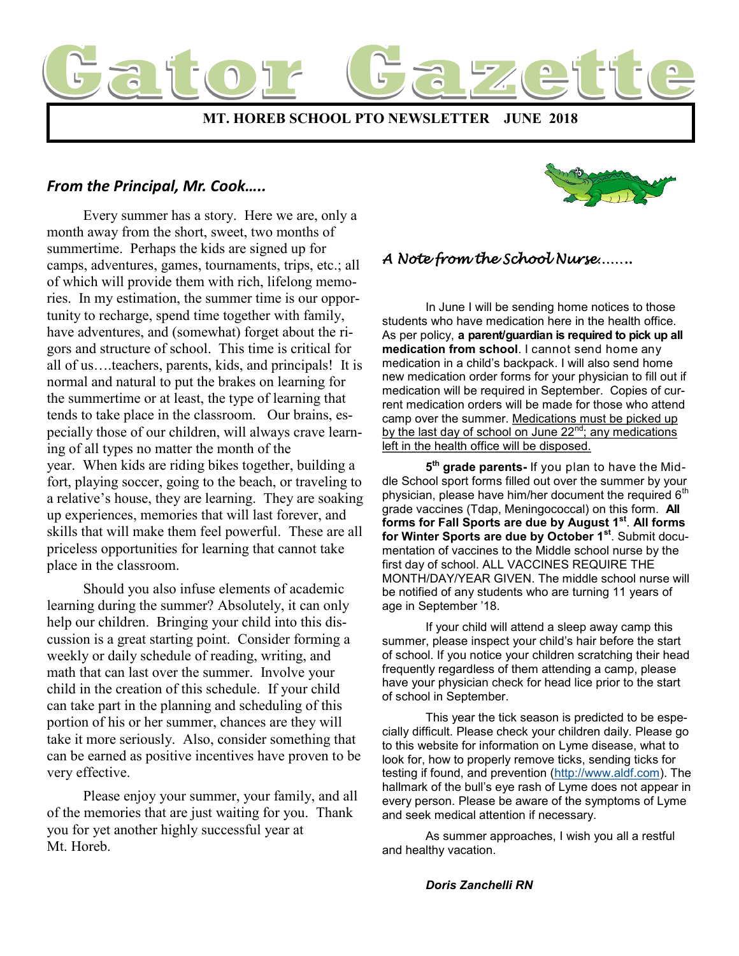

## *From the Principal, Mr. Cook…..*

 Every summer has a story. Here we are, only a month away from the short, sweet, two months of summertime. Perhaps the kids are signed up for camps, adventures, games, tournaments, trips, etc.; all of which will provide them with rich, lifelong memories. In my estimation, the summer time is our opportunity to recharge, spend time together with family, have adventures, and (somewhat) forget about the rigors and structure of school. This time is critical for all of us….teachers, parents, kids, and principals! It is normal and natural to put the brakes on learning for the summertime or at least, the type of learning that tends to take place in the classroom. Our brains, especially those of our children, will always crave learning of all types no matter the month of the year. When kids are riding bikes together, building a fort, playing soccer, going to the beach, or traveling to a relative's house, they are learning. They are soaking up experiences, memories that will last forever, and skills that will make them feel powerful. These are all priceless opportunities for learning that cannot take place in the classroom.

 Should you also infuse elements of academic learning during the summer? Absolutely, it can only help our children. Bringing your child into this discussion is a great starting point. Consider forming a weekly or daily schedule of reading, writing, and math that can last over the summer. Involve your child in the creation of this schedule. If your child can take part in the planning and scheduling of this portion of his or her summer, chances are they will take it more seriously. Also, consider something that can be earned as positive incentives have proven to be very effective.

 Please enjoy your summer, your family, and all of the memories that are just waiting for you. Thank you for yet another highly successful year at Mt. Horeb.



# *A Note from the School Nurse……..*

 In June I will be sending home notices to those students who have medication here in the health office. As per policy, **a parent/guardian is required to pick up all medication from school**. I cannot send home any medication in a child's backpack. I will also send home new medication order forms for your physician to fill out if medication will be required in September. Copies of current medication orders will be made for those who attend camp over the summer. Medications must be picked up by the last day of school on June 22<sup>nd</sup>; any medications left in the health office will be disposed.

**5 th grade parents-** If you plan to have the Middle School sport forms filled out over the summer by your physician, please have him/her document the required  $6<sup>th</sup>$ grade vaccines (Tdap, Meningococcal) on this form. **All forms for Fall Sports are due by August 1st** . **All forms for Winter Sports are due by October 1st**. Submit documentation of vaccines to the Middle school nurse by the first day of school. ALL VACCINES REQUIRE THE MONTH/DAY/YEAR GIVEN. The middle school nurse will be notified of any students who are turning 11 years of age in September '18.

If your child will attend a sleep away camp this summer, please inspect your child's hair before the start of school. If you notice your children scratching their head frequently regardless of them attending a camp, please have your physician check for head lice prior to the start of school in September.

This year the tick season is predicted to be especially difficult. Please check your children daily. Please go to this website for information on Lyme disease, what to look for, how to properly remove ticks, sending ticks for testing if found, and prevention ([http://www.aldf.com\)](http://www.aldf.com). The hallmark of the bull's eye rash of Lyme does not appear in every person. Please be aware of the symptoms of Lyme and seek medical attention if necessary.

As summer approaches, I wish you all a restful and healthy vacation.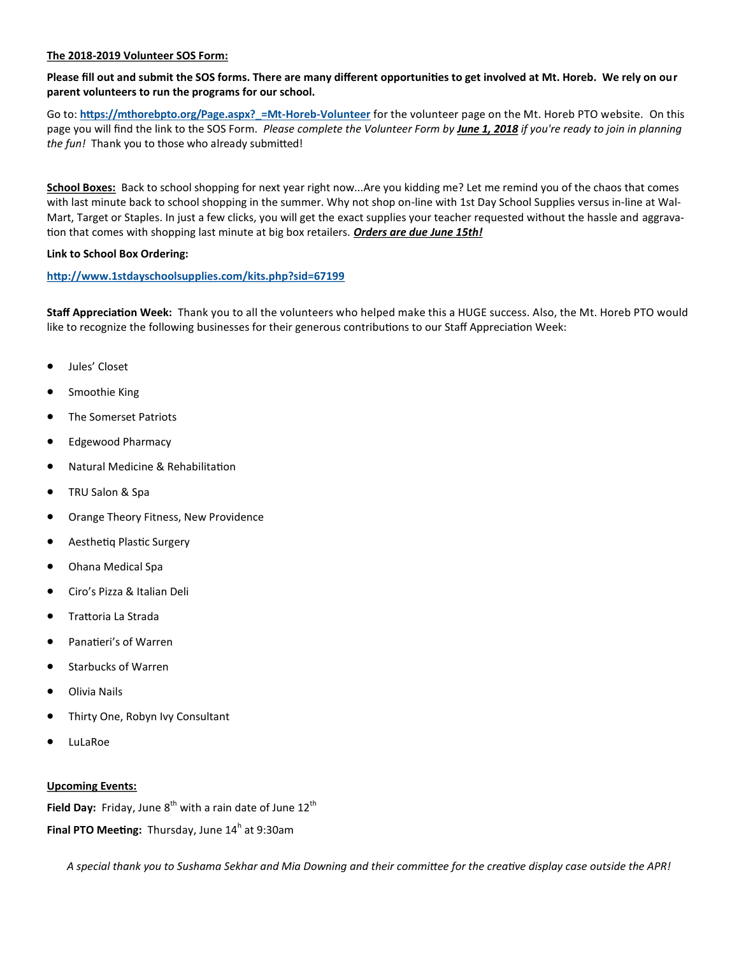#### **The 2018-2019 Volunteer SOS Form:**

**Please fill out and submit the SOS forms. There are many different opportunities to get involved at Mt. Horeb. We rely on our parent volunteers to run the programs for our school.** 

Go to: **[https://mthorebpto.org/Page.aspx?\\_=Mt](https://mthorebpto.org/Page.aspx?_=Mt-Horeb-Volunteer)-Horeb-Volunteer** for the volunteer page on the Mt. Horeb PTO website. On this page you will find the link to the SOS Form. *Please complete the Volunteer Form by June 1, 2018 if you're ready to join in planning the fun!* Thank you to those who already submitted!

**School Boxes:** Back to school shopping for next year right now...Are you kidding me? Let me remind you of the chaos that comes with last minute back to school shopping in the summer. Why not shop on-line with 1st Day School Supplies versus in-line at Wal-Mart, Target or Staples. In just a few clicks, you will get the exact supplies your teacher requested without the hassle and aggravation that comes with shopping last minute at big box retailers. *Orders are due June 15th!*

### **Link to School Box Ordering:**

### **<http://www.1stdayschoolsupplies.com/kits.php?sid=67199>**

**Staff Appreciation Week:** Thank you to all the volunteers who helped make this a HUGE success. Also, the Mt. Horeb PTO would like to recognize the following businesses for their generous contributions to our Staff Appreciation Week:

- Jules' Closet
- Smoothie King
- The Somerset Patriots
- Edgewood Pharmacy
- Natural Medicine & Rehabilitation
- TRU Salon & Spa
- Orange Theory Fitness, New Providence
- Aesthetiq Plastic Surgery
- Ohana Medical Spa
- Ciro's Pizza & Italian Deli
- Trattoria La Strada
- Panatieri's of Warren
- Starbucks of Warren
- Olivia Nails
- Thirty One, Robyn Ivy Consultant
- LuLaRoe

#### **Upcoming Events:**

Field Day: Friday, June 8<sup>th</sup> with a rain date of June 12<sup>th</sup>

**Final PTO Meeting:** Thursday, June 14<sup>h</sup> at 9:30am

*A special thank you to Sushama Sekhar and Mia Downing and their committee for the creative display case outside the APR!*